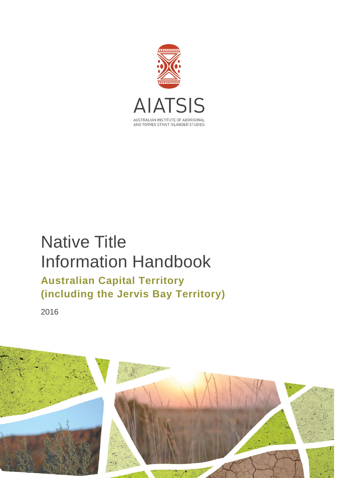

# Native Title Information Handbook **Australian Capital Territory (including the Jervis Bay Territory)**

2016

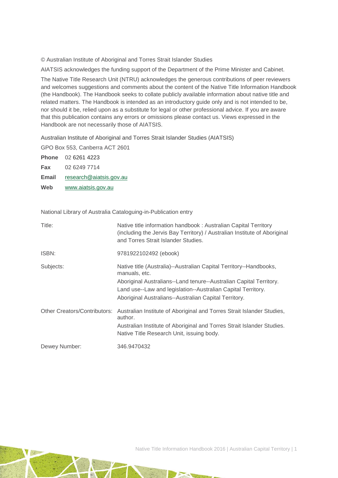© Australian Institute of Aboriginal and Torres Strait Islander Studies

AIATSIS acknowledges the funding support of the Department of the Prime Minister and Cabinet.

The Native Title Research Unit (NTRU) acknowledges the generous contributions of peer reviewers and welcomes suggestions and comments about the content of the Native Title Information Handbook (the Handbook). The Handbook seeks to collate publicly available information about native title and related matters. The Handbook is intended as an introductory guide only and is not intended to be, nor should it be, relied upon as a substitute for legal or other professional advice. If you are aware that this publication contains any errors or omissions please contact us. Views expressed in the Handbook are not necessarily those of AIATSIS.

Australian Institute of Aboriginal and Torres Strait Islander Studies (AIATSIS)

GPO Box 553, Canberra ACT 2601

**Phone** 02 6261 4223 **Fax** 02 6249 7714 **Email** [research@aiatsis.gov.au](mailto:research@aiatsis.gov.au) **Web** [www.aiatsis.gov.au](http://www.aiatsis.gov.au/) 

National Library of Australia Cataloguing-in-Publication entry

| Title:                       | Native title information handbook: Australian Capital Territory<br>(including the Jervis Bay Territory) / Australian Institute of Aboriginal<br>and Torres Strait Islander Studies.                                                                                                |
|------------------------------|------------------------------------------------------------------------------------------------------------------------------------------------------------------------------------------------------------------------------------------------------------------------------------|
| ISBN:                        | 9781922102492 (ebook)                                                                                                                                                                                                                                                              |
| Subjects:                    | Native title (Australia)--Australian Capital Territory--Handbooks,<br>manuals, etc.<br>Aboriginal Australians--Land tenure--Australian Capital Territory.<br>Land use--Law and legislation--Australian Capital Territory.<br>Aboriginal Australians--Australian Capital Territory. |
| Other Creators/Contributors: | Australian Institute of Aboriginal and Torres Strait Islander Studies,<br>author.<br>Australian Institute of Aboriginal and Torres Strait Islander Studies.<br>Native Title Research Unit, issuing body.                                                                           |
| Dewey Number:                | 346.9470432                                                                                                                                                                                                                                                                        |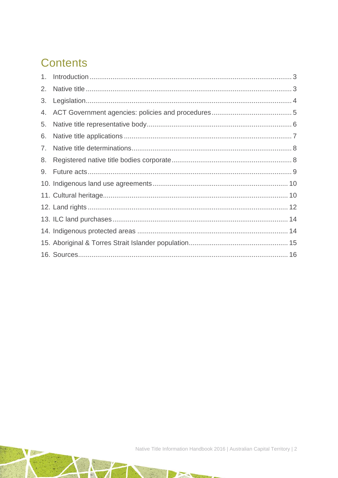# **Contents**

| 2. |  |
|----|--|
| 3. |  |
| 4. |  |
| 5. |  |
| 6. |  |
| 7. |  |
| 8. |  |
|    |  |
|    |  |
|    |  |
|    |  |
|    |  |
|    |  |
|    |  |
|    |  |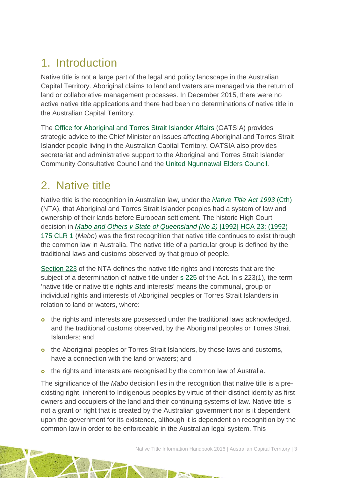# <span id="page-3-0"></span>1. Introduction

Native title is not a large part of the legal and policy landscape in the Australian Capital Territory. Aboriginal claims to land and waters are managed via the return of land or collaborative management processes. In December 2015, there were no active native title applications and there had been no determinations of native title in the Australian Capital Territory.

The Office for [Aboriginal and Torres Strait Islander Affairs](http://www.act.gov.au/browse/topics/community-and-family/office_of_aboriginal_and_torres_strait_islander_affairs) (OATSIA) provides strategic advice to the Chief Minister on issues affecting Aboriginal and Torres Strait Islander people living in the Australian Capital Territory. OATSIA also provides secretariat and administrative support to the Aboriginal and Torres Strait Islander Community Consultative Council and the [United Ngunnawal Elders Council.](http://www.communityservices.act.gov.au/atsia/committees/ngunnawal_issues)

# <span id="page-3-1"></span>2. Native title

Native title is the recognition in Australian law, under the *[Native Title Act 1993](http://www.austlii.edu.au/au/legis/cth/consol_act/nta1993147/)* (Cth) (NTA), that Aboriginal and Torres Strait Islander peoples had a system of law and ownership of their lands before European settlement. The historic High Court decision in *[Mabo and Others v State of Queensland \(No 2\)](http://www.austlii.edu.au/au/cases/cth/HCA/1992/23.html)* [1992] HCA 23; (1992) 175 [CLR 1](http://www.austlii.edu.au/au/cases/cth/HCA/1992/23.html) (*Mabo*) was the first recognition that native title continues to exist through the common law in Australia. The native title of a particular group is defined by the traditional laws and customs observed by that group of people.

[Section 223](http://www.austlii.edu.au/au/legis/cth/consol_act/nta1993147/s223.html) of the NTA defines the native title rights and interests that are the subject of a determination of native title under [s 225](http://www.austlii.edu.au/au/legis/cth/consol_act/nta1993147/s225.html) of the Act. In s 223(1), the term 'native title or native title rights and interests' means the communal, group or individual rights and interests of Aboriginal peoples or Torres Strait Islanders in relation to land or waters, where:

- o the rights and interests are possessed under the traditional laws acknowledged, and the traditional customs observed, by the Aboriginal peoples or Torres Strait Islanders; and
- o the Aboriginal peoples or Torres Strait Islanders, by those laws and customs, have a connection with the land or waters; and
- o the rights and interests are recognised by the common law of Australia.

The significance of the *Mabo* decision lies in the recognition that native title is a preexisting right, inherent to Indigenous peoples by virtue of their distinct identity as first owners and occupiers of the land and their continuing systems of law. Native title is not a grant or right that is created by the Australian government nor is it dependent upon the government for its existence, although it is dependent on recognition by the common law in order to be enforceable in the Australian legal system. This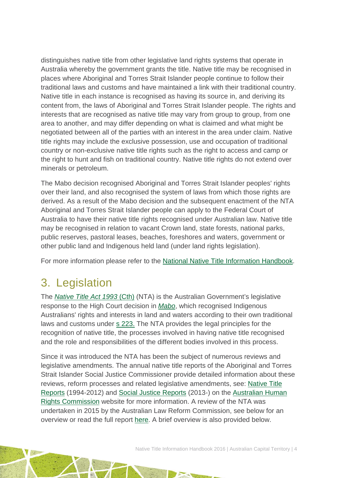distinguishes native title from other legislative land rights systems that operate in Australia whereby the government grants the title. Native title may be recognised in places where Aboriginal and Torres Strait Islander people continue to follow their traditional laws and customs and have maintained a link with their traditional country. Native title in each instance is recognised as having its source in, and deriving its content from, the laws of Aboriginal and Torres Strait Islander people. The rights and interests that are recognised as native title may vary from group to group, from one area to another, and may differ depending on what is claimed and what might be negotiated between all of the parties with an interest in the area under claim. Native title rights may include the exclusive possession, use and occupation of traditional country or non-exclusive native title rights such as the right to access and camp or the right to hunt and fish on traditional country. Native title rights do not extend over minerals or petroleum.

The Mabo decision recognised Aboriginal and Torres Strait Islander peoples' rights over their land, and also recognised the system of laws from which those rights are derived. As a result of the Mabo decision and the subsequent enactment of the NTA Aboriginal and Torres Strait Islander people can apply to the Federal Court of Australia to have their native title rights recognised under Australian law. Native title may be recognised in relation to vacant Crown land, state forests, national parks, public reserves, pastoral leases, beaches, foreshores and waters, government or other public land and Indigenous held land (under land rights legislation).

For more information please refer to the [National Native Title](http://aiatsis.gov.au/publications/products/native-title-information-handbooks) Information Handbook.

# <span id="page-4-0"></span>3. Legislation

The *[Native Title Act 1993](http://www.austlii.edu.au/au/legis/cth/consol_act/nta1993147/)* (Cth) (NTA) is the Australian Government's legislative response to the High Court decision in *[Mabo](http://www.austlii.edu.au/au/cases/cth/HCA/1992/23.html)*, which recognised Indigenous Australians' rights and interests in land and waters according to their own traditional laws and customs under [s 223.](http://www.austlii.edu.au/au/legis/cth/consol_act/nta1993147/s223.html) The NTA provides the legal principles for the recognition of native title, the processes involved in having native title recognised and the role and responsibilities of the different bodies involved in this process.

Since it was introduced the NTA has been the subject of numerous reviews and legislative amendments. The annual native title reports of the Aboriginal and Torres Strait Islander Social Justice Commissioner provide detailed information about these reviews, reform processes and related legislative amendments, see: [Native Title](https://www.humanrights.gov.au/our-work/aboriginal-and-torres-strait-islander-social-justice/publications/native-title-reports)  [Reports](https://www.humanrights.gov.au/our-work/aboriginal-and-torres-strait-islander-social-justice/publications/native-title-reports) (1994-2012) and [Social Justice Reports](https://www.humanrights.gov.au/our-work/aboriginal-and-torres-strait-islander-social-justice/projects/social-justice-and-native) (2013-) on the [Australian Human](https://www.humanrights.gov.au/)  [Rights Commission](https://www.humanrights.gov.au/) website for more information. A review of the NTA was undertaken in 2015 by the Australian Law Reform Commission, see below for an overview or read the full report [here.](https://www.alrc.gov.au/publications/alrc126) A brief overview is also provided below.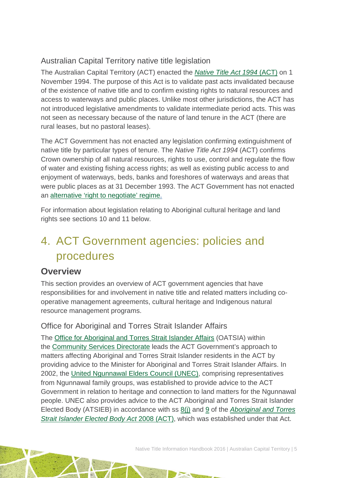### Australian Capital Territory native title legislation

The Australian Capital Territory (ACT) enacted the *[Native Title Act 1994](http://www.austlii.edu.au/au/legis/act/consol_act/nta1994147/)* (ACT) on 1 November 1994. The purpose of this Act is to validate past acts invalidated because of the existence of native title and to confirm existing rights to natural resources and access to waterways and public places. Unlike most other jurisdictions, the ACT has not introduced legislative amendments to validate intermediate period acts. This was not seen as necessary because of the nature of land tenure in the ACT (there are rural leases, but no pastoral leases).

The ACT Government has not enacted any legislation confirming extinguishment of native title by particular types of tenure. The *Native Title Act 1994* (ACT) confirms Crown ownership of all natural resources, rights to use, control and regulate the flow of water and existing fishing access rights; as well as existing public access to and enjoyment of waterways, beds, banks and foreshores of waterways and areas that were public places as at 31 December 1993. The ACT Government has not enacted an [alternative 'right to negotiate' regime.](http://www.ag.gov.au/LegalSystem/NativeTitle/Pages/StateAndTerritoryAlternativeToRightToNegotiate.aspx)

For information about legislation relating to Aboriginal cultural heritage and land rights see sections 10 and 11 below.

# <span id="page-5-0"></span>4. ACT Government agencies: policies and procedures

### **Overview**

This section provides an overview of ACT government agencies that have responsibilities for and involvement in native title and related matters including cooperative management agreements, cultural heritage and Indigenous natural resource management programs.

#### Office for Aboriginal and Torres Strait Islander Affairs

The Office for [Aboriginal and Torres Strait Islander Affairs](http://www.communityservices.act.gov.au/atsia) (OATSIA) within the [Community Services Directorate](http://www.communityservices.act.gov.au/home) leads the ACT Government's approach to matters affecting Aboriginal and Torres Strait Islander residents in the ACT by providing advice to the Minister for Aboriginal and Torres Strait Islander Affairs. In 2002, the [United Ngunnawal Elders Council \(UNEC\),](http://www.communityservices.act.gov.au/atsia/committees/ngunnawal_issues) comprising representatives from Ngunnawal family groups, was established to provide advice to the ACT Government in relation to heritage and connection to land matters for the Ngunnawal people. UNEC also provides advice to the ACT Aboriginal and Torres Strait Islander Elected Body (ATSIEB) in accordance with ss [8\(j\)](http://www5.austlii.edu.au/au/legis/act/consol_act/aatsieba2008448/s8.html) and [9](http://www5.austlii.edu.au/au/legis/act/consol_act/aatsieba2008448/s9.html) of the *[Aboriginal and Torres](http://www5.austlii.edu.au/au/legis/act/consol_act/aatsieba2008448/)  [Strait Islander Elected Body Act](http://www5.austlii.edu.au/au/legis/act/consol_act/aatsieba2008448/)* 2008 (ACT), which was established under that Act.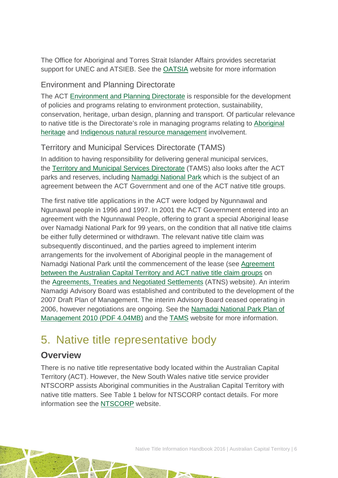The Office for Aboriginal and Torres Strait Islander Affairs provides secretariat support for UNEC and ATSIEB. See the [OATSIA](http://www.communityservices.act.gov.au/atsia) website for more information

#### Environment and Planning Directorate

The ACT [Environment and Planning Directorate](http://www.environment.act.gov.au/) is responsible for the development of policies and programs relating to environment protection, sustainability, conservation, heritage, urban design, planning and transport. Of particular relevance to native title is the Directorate's role in managing programs relating to [Aboriginal](http://www.environment.act.gov.au/heritage/heritage-in-the-act)  [heritage](http://www.environment.act.gov.au/heritage/heritage-in-the-act) and [Indigenous natural resource management](http://www.environment.act.gov.au/cpr/indigenous_nrm) involvement.

### Territory and Municipal Services Directorate (TAMS)

In addition to having responsibility for delivering general municipal services, the [Territory and Municipal Services Directorate](http://www.tams.act.gov.au/) (TAMS) also looks after the ACT parks and reserves, including [Namadgi National Park](http://www.tams.act.gov.au/__data/assets/pdf_file/0007/387934/WEB_Namadgi_National_Park_Summary.pdf) which is the subject of an agreement between the ACT Government and one of the ACT native title groups.

The first native title applications in the ACT were lodged by Ngunnawal and Ngunawal people in 1996 and 1997. In 2001 the ACT Government entered into an agreement with the Ngunnawal People, offering to grant a special Aboriginal lease over Namadgi National Park for 99 years, on the condition that all native title claims be either fully determined or withdrawn. The relevant native title claim was subsequently discontinued, and the parties agreed to implement interim arrangements for the involvement of Aboriginal people in the management of Namadgi National Park until the commencement of the lease (see [Agreement](http://www.atns.net.au/agreement.asp?EntityID=1843)  [between the Australian Capital Territory and ACT native title claim groups](http://www.atns.net.au/agreement.asp?EntityID=1843) on the [Agreements, Treaties and Negotiated Settlements](http://www.atns.net.au/) (ATNS) website). An interim Namadgi Advisory Board was established and contributed to the development of the 2007 Draft Plan of Management. The interim Advisory Board ceased operating in 2006, however negotiations are ongoing. See the [Namadgi National Park Plan of](http://www.tams.act.gov.au/__data/assets/pdf_file/0003/387930/Final_Namadgi_National_Park_Plan.pdf)  [Management 2010 \(PDF 4.04MB\)](http://www.tams.act.gov.au/__data/assets/pdf_file/0003/387930/Final_Namadgi_National_Park_Plan.pdf) and the [TAMS](http://www.tams.act.gov.au/) website for more information.

# <span id="page-6-0"></span>5. Native title representative body

### **Overview**

There is no native title representative body located within the Australian Capital Territory (ACT). However, the New South Wales native title service provider NTSCORP assists Aboriginal communities in the Australian Capital Territory with native title matters. See Table 1 below for NTSCORP contact details. For more information see the [NTSCORP](http://www.ntscorp.com.au/) website.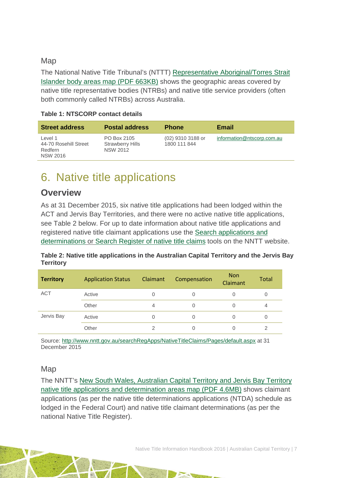#### Map

The National Native Title Tribunal's (NTTT) [Representative Aboriginal/Torres Strait](http://www.nntt.gov.au/Maps/RATSIB_map.pdf)  [Islander body areas map \(PDF 663KB\)](http://www.nntt.gov.au/Maps/RATSIB_map.pdf) shows the geographic areas covered by native title representative bodies (NTRBs) and native title service providers (often both commonly called NTRBs) across Australia.

| <b>Street address</b>                                          | <b>Postal address</b>                                     | <b>Phone</b>                      | Email                      |
|----------------------------------------------------------------|-----------------------------------------------------------|-----------------------------------|----------------------------|
| Level 1<br>44-70 Rosehill Street<br>Redfern<br><b>NSW 2016</b> | PO Box 2105<br><b>Strawberry Hills</b><br><b>NSW 2012</b> | (02) 9310 3188 or<br>1800 111 844 | information@ntscorp.com.au |

#### **Table 1: NTSCORP contact details**

# <span id="page-7-0"></span>6. Native title applications

### **Overview**

As at 31 December 2015, six native title applications had been lodged within the ACT and Jervis Bay Territories, and there were no active native title applications, see Table 2 below. For up to date information about native title applications and registered native title claimant applications use the [Search applications and](http://www.nntt.gov.au/searchRegApps/NativeTitleClaims/Pages/default.aspx)  [determinations](http://www.nntt.gov.au/searchRegApps/NativeTitleClaims/Pages/default.aspx) or [Search Register of native title claims](http://www.nntt.gov.au/searchRegApps/NativeTitleRegisters/Pages/Search-Register-of-Native-Title-Claims.aspx) tools on the NNTT website.

**Table 2: Native title applications in the Australian Capital Territory and the Jervis Bay Territory**

| <b>Territory</b> | <b>Application Status</b> | <b>Claimant</b> | Compensation | <b>Non</b><br>Claimant | <b>Total</b> |
|------------------|---------------------------|-----------------|--------------|------------------------|--------------|
| <b>ACT</b>       | Active                    |                 | 0            |                        | 0            |
|                  | Other                     | $\overline{4}$  | 0            |                        | 4            |
| Jervis Bay       | Active                    |                 | 0            |                        | 0            |
|                  | Other                     | 2               | 0            |                        |              |

Source:<http://www.nntt.gov.au/searchRegApps/NativeTitleClaims/Pages/default.aspx> at 31 December 2015

#### Map

The NNTT's [New South Wales, Australian Capital Territory and Jervis Bay Territory](http://www.nntt.gov.au/Maps/NSW_ACT_JBT_NTDA_Schedule.pdf)  [native title applications and determination areas map \(PDF 4.6MB\)](http://www.nntt.gov.au/Maps/NSW_ACT_JBT_NTDA_Schedule.pdf) shows claimant applications (as per the native title determinations applications (NTDA) schedule as lodged in the Federal Court) and native title claimant determinations (as per the national Native Title Register).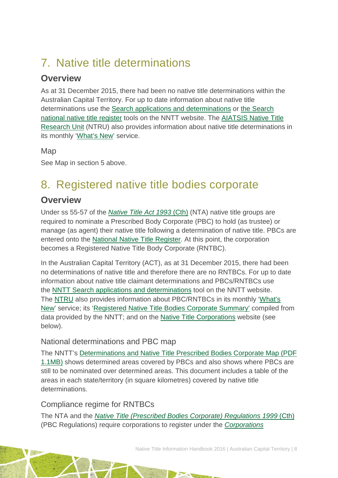# <span id="page-8-0"></span>7. Native title determinations

### **Overview**

As at 31 December 2015, there had been no native title determinations within the Australian Capital Territory. For up to date information about native title determinations use the [Search applications and determinations](http://www.nntt.gov.au/searchRegApps/NativeTitleClaims/Pages/default.aspx) or the [Search](http://www.nntt.gov.au/searchRegApps/NativeTitleRegisters/Pages/Search-National-Native-Title-Register.aspx)  [national native title register](http://www.nntt.gov.au/searchRegApps/NativeTitleRegisters/Pages/Search-National-Native-Title-Register.aspx) tools on the NNTT website. The [AIATSIS Native Title](http://aiatsis.gov.au/research/research-themes/native-title)  [Research Unit](http://aiatsis.gov.au/research/research-themes/native-title) (NTRU) also provides information about native title determinations in its monthly ['What's New'](http://aiatsis.gov.au/research/research-themes/native-title/publications/whats-new) service.

Map

See Map in section 5 above.

# <span id="page-8-1"></span>8. Registered native title bodies corporate

### **Overview**

Under ss 55-57 of the *[Native Title Act 1993](http://www.austlii.edu.au/au/legis/cth/consol_act/nta1993147/)* (Cth) (NTA) native title groups are required to nominate a Prescribed Body Corporate (PBC) to hold (as trustee) or manage (as agent) their native title following a determination of native title. PBCs are entered onto the [National Native Title Register.](http://www.nntt.gov.au/searchRegApps/NativeTitleRegisters/Pages/Search-National-Native-Title-Register.aspx) At this point, the corporation becomes a Registered Native Title Body Corporate (RNTBC).

In the Australian Capital Territory (ACT), as at 31 December 2015, there had been no determinations of native title and therefore there are no RNTBCs. For up to date information about native title claimant determinations and PBCs/RNTBCs use the [NNTT Search applications and determinations](http://www.nntt.gov.au/searchRegApps/NativeTitleClaims/Pages/default.aspx) tool on the NNTT website. The [NTRU](http://aiatsis.gov.au/research/research-themes/native-title) also provides information about PBC/RNTBCs in its monthly ['What's](http://aiatsis.gov.au/research/research-themes/native-title/publications/whats-new)  [New'](http://aiatsis.gov.au/research/research-themes/native-title/publications/whats-new) service; its ['Registered Native Title Bodies Corporate Summary'](http://aiatsis.gov.au/publications/products/registered-native-title-bodies-corporate-prescribed-bodies-corporate-summary) compiled from data provided by the NNTT; and on the [Native Title Corporations](http://www.nativetitle.org.au/) website (see below).

### National determinations and PBC map

The NNTT's [Determinations and Native Title Prescribed Bodies Corporate Map \(PDF](http://www.nntt.gov.au/Maps/Determinations_and_PBCs_map.pdf)  [1.1MB\)](http://www.nntt.gov.au/Maps/Determinations_and_PBCs_map.pdf) shows determined areas covered by PBCs and also shows where PBCs are still to be nominated over determined areas. This document includes a table of the areas in each state/territory (in square kilometres) covered by native title determinations.

### Compliance regime for RNTBCs

The NTA and the *[Native Title \(Prescribed Bodies Corporate\) Regulations 1999](http://www.austlii.edu.au/au/legis/cth/consol_reg/ntbcr1999495/)* (Cth) (PBC Regulations) require corporations to register under the *[Corporations](http://www5.austlii.edu.au/au/legis/cth/consol_act/catsia2006510/)*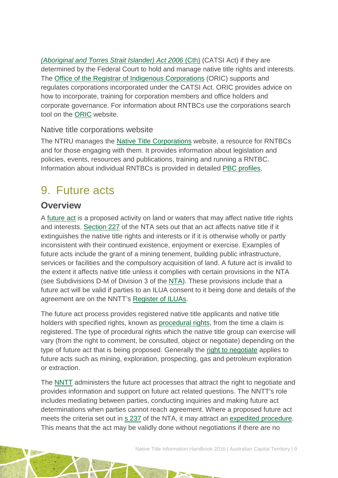*[\(Aboriginal and Torres Strait Islander\) Act 2006](http://www5.austlii.edu.au/au/legis/cth/consol_act/catsia2006510/)* (Cth) (CATSI Act) if they are determined by the Federal Court to hold and manage native title rights and interests. The [Office of the Registrar of Indigenous Corporations](http://www.oric.gov.au/) (ORIC) supports and regulates corporations incorporated under the CATSI Act. ORIC provides advice on how to incorporate, training for corporation members and office holders and corporate governance. For information about RNTBCs use the corporations search tool on the [ORIC](http://www.oric.gov.au/) website.

#### Native title corporations website

The NTRU manages the [Native Title Corporations](http://www.nativetitle.org.au/) website, a resource for RNTBCs and for those engaging with them. It provides information about legislation and policies, events, resources and publications, training and running a RNTBC. Information about individual RNTBCs is provided in detailed [PBC profiles.](http://www.nativetitle.org.au/profiles.html)

## <span id="page-9-0"></span>9. Future acts

### **Overview**

A [future act](http://www.nntt.gov.au/Pages/Glossary.aspx) is a proposed activity on land or waters that may affect native title rights and interests. [Section 227](http://www.austlii.edu.au/au/legis/cth/consol_act/nta1993147/s227.html) of the NTA sets out that an act affects native title if it extinguishes the native title rights and interests or if it is otherwise wholly or partly inconsistent with their continued existence, enjoyment or exercise. Examples of future acts include the grant of a mining tenement, building public infrastructure, services or facilities and the compulsory acquisition of land. A future act is invalid to the extent it affects native title unless it complies with certain provisions in the NTA (see Subdivisions D-M of Division 3 of the [NTA\)](http://www.austlii.edu.au/au/legis/cth/consol_act/nta1993147/). These provisions include that a future act will be valid if parties to an ILUA consent to it being done and details of the agreement are on the NNTT's [Register of ILUAs.](http://www.nntt.gov.au/searchRegApps/NativeTitleRegisters/Pages/Search-Register-of-Indigenous-Land-Use-Agreements.aspx)

The future act process provides registered native title applicants and native title holders with specified rights, known as [procedural rights,](http://www.nntt.gov.au/Pages/Glossary.aspx) from the time a claim is registered. The type of procedural rights which the native title group can exercise will vary (from the right to comment, be consulted, object or negotiate) depending on the type of future act that is being proposed. Generally the [right to negotiate](http://www.nntt.gov.au/Pages/Glossary.aspx) applies to future acts such as mining, exploration, prospecting, gas and petroleum exploration or extraction.

The [NNTT](http://www.nntt.gov.au/Pages/Home-Page.aspx) administers the future act processes that attract the right to negotiate and provides information and support on future act related questions. The NNTT's role includes mediating between parties, conducting inquiries and making future act determinations when parties cannot reach agreement. Where a proposed future act meets the criteria set out in [s 237](http://www.austlii.edu.au/au/legis/cth/consol_act/nta1993147/s237.html) of the NTA, it may attract an [expedited procedure.](http://www.nntt.gov.au/Pages/Glossary.aspx) This means that the act may be validly done without negotiations if there are no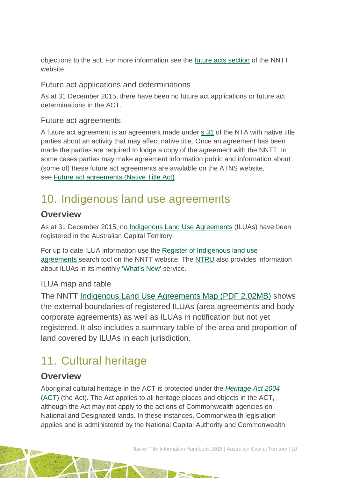objections to the act. For more information see the [future acts section](http://www.nntt.gov.au/futureacts/Pages/default.aspx) of the NNTT website.

### Future act applications and determinations

As at 31 December 2015, there have been no future act applications or future act determinations in the ACT.

### Future act agreements

A future act agreement is an agreement made under [s 31](http://www.austlii.edu.au/au/legis/cth/consol_act/nta1993147/s31.html) of the NTA with native title parties about an activity that may affect native title. Once an agreement has been made the parties are required to lodge a copy of the agreement with the NNTT. In some cases parties may make agreement information public and information about (some of) these future act agreements are available on the ATNS website, see [Future act agreements \(Native Title Act\).](http://www.atns.net.au/subcategory.asp?subcategoryID=120)

# <span id="page-10-0"></span>10. Indigenous land use agreements

### **Overview**

As at 31 December 2015, no [Indigenous Land Use Agreements](http://www.nntt.gov.au/Pages/Glossary.aspx) (ILUAs) have been registered in the Australian Capital Territory.

For up to date ILUA information use the [Register of Indigenous land use](http://www.nntt.gov.au/searchRegApps/NativeTitleRegisters/Pages/Search-Register-of-Indigenous-Land-Use-Agreements.aspx)  [agreements](http://www.nntt.gov.au/searchRegApps/NativeTitleRegisters/Pages/Search-Register-of-Indigenous-Land-Use-Agreements.aspx) search tool on the NNTT website. The [NTRU](http://aiatsis.gov.au/research/research-themes/native-title) also provides information about ILUAs in its monthly ['What's New'](http://aiatsis.gov.au/research/research-themes/native-title/publications/whats-new) service.

### ILUA map and table

The NNTT [Indigenous Land Use Agreements Map \(PDF 2.02MB\)](http://www.nntt.gov.au/Maps/ILUAs_map.pdf) shows the external boundaries of registered ILUAs (area agreements and body corporate agreements) as well as ILUAs in notification but not yet registered. It also includes a summary table of the area and proportion of land covered by ILUAs in each jurisdiction.

# <span id="page-10-1"></span>11. Cultural heritage

### **Overview**

Aboriginal cultural heritage in the ACT is protected under the *[Heritage Act 2004](http://www5.austlii.edu.au/au/legis/act/consol_act/ha200486/)* [\(ACT\)](http://www5.austlii.edu.au/au/legis/act/consol_act/ha200486/) (the Act). The Act applies to all heritage places and objects in the ACT, although the Act may not apply to the actions of Commonwealth agencies on National and Designated lands. In these instances, Commonwealth legislation applies and is administered by the National Capital Authority and Commonwealth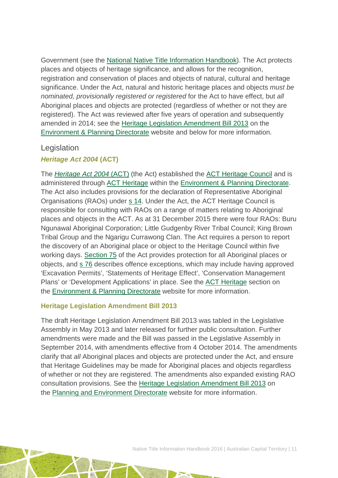Government (see the [National Native Title Information Handbook\)](http://aiatsis.gov.au/publications/products/native-title-information-handbooks). The Act protects places and objects of heritage significance, and allows for the recognition, registration and conservation of places and objects of natural, cultural and heritage significance. Under the Act, natural and historic heritage places and objects *must be nominated, provisionally registered or registered* for the Act to have effect, but *all* Aboriginal places and objects are protected (regardless of whether or not they are registered). The Act was reviewed after five years of operation and subsequently amended in 2014; see the [Heritage Legislation Amendment Bill 2013](http://www.environment.act.gov.au/heritage/about-us/heritage_legislation_amendment_bill_2013_summary_statement) on th[e](http://www.environment.act.gov.au/home) [Environment & Planning](http://www.environment.act.gov.au/home) Directorate website and below for more information.

#### **Legislation**

#### *Heritage Act 2004* **(ACT)**

The *[Heritage Act 2004](http://www5.austlii.edu.au/au/legis/act/consol_act/ha200486/)* (ACT) (the Act) established the [ACT Heritage Council](http://www.environment.act.gov.au/heritage/about-us/act_heritage_council) and is administered through [ACT Heritage](http://www.environment.act.gov.au/heritage/about-us) within the [Environment & Planning Directorate.](http://www.environment.act.gov.au/home) The Act also includes provisions for the declaration of Representative Aboriginal Organisations (RAOs) under [s 14.](http://www5.austlii.edu.au/au/legis/act/consol_act/ha200486/s14.html) Under the Act, the ACT Heritage Council is responsible for consulting with RAOs on a range of matters relating to Aboriginal places and objects in the ACT. As at 31 December 2015 there were four RAOs: Buru Ngunawal Aboriginal Corporation; Little Gudgenby River Tribal Council; King Brown Tribal Group and the Ngarigu Currawong Clan. The Act requires a person to report the discovery of an Aboriginal place or object to the Heritage Council within five working days. [Section 75](http://www5.austlii.edu.au/au/legis/act/consol_act/ha200486/s75.html) of the Act provides protection for all Aboriginal places or objects, and [s 76](http://www5.austlii.edu.au/au/legis/act/consol_act/ha200486/s76.html) describes offence exceptions, which may include having approved 'Excavation Permits', 'Statements of Heritage Effect', 'Conservation Management Plans' or 'Development Applications' in place. See the [ACT Heritage](http://www.environment.act.gov.au/heritage/about-us) section on the [Environment & Planning Directorate](http://www.environment.act.gov.au/home) website for more information.

#### **Heritage Legislation Amendment Bill 2013**

The draft Heritage Legislation Amendment Bill 2013 was tabled in the Legislative Assembly in May 2013 and later released for further public consultation. Further amendments were made and the Bill was passed in the Legislative Assembly in September 2014, with amendments effective from 4 October 2014. The amendments clarify that *all* Aboriginal places and objects are protected under the Act, and ensure that Heritage Guidelines may be made for Aboriginal places and objects regardless of whether or not they are registered. The amendments also expanded existing RAO consultation provisions. See the [Heritage Legislation Amendment Bill 2013](http://www.environment.act.gov.au/heritage/about-us/heritage_legislation_amendment_bill_2013_summary_statement) on the [Planning and Environment Directorate](http://www.environment.act.gov.au/home) website for more information.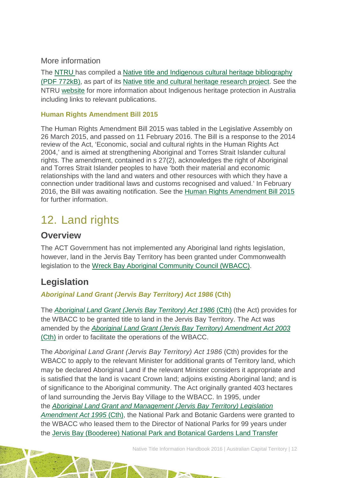#### More information

The [NTRU h](http://aiatsis.gov.au/research/research-themes/native-title)as compiled a [Native title and Indigenous cultural heritage bibliography](http://aiatsis.gov.au/publications/products/native-title-and-indigenous-cultural-heritage-management-bibliography)  [\(PDF 772kB\),](http://aiatsis.gov.au/publications/products/native-title-and-indigenous-cultural-heritage-management-bibliography) as part of its [Native title and cultural heritage research project.](http://aiatsis.gov.au/research-and-guides/native-title-and-cultural-heritage) See the NTRU [website](http://aiatsis.gov.au/research/research-themes/native-title) for more information about Indigenous heritage protection in Australia including links to relevant publications.

#### **Human Rights Amendment Bill 2015**

The Human Rights Amendment Bill 2015 was tabled in the Legislative Assembly on 26 March 2015, and passed on 11 February 2016. The Bill is a response to the 2014 review of the Act, 'Economic, social and cultural rights in the Human Rights Act 2004,' and is aimed at strengthening Aboriginal and Torres Strait Islander cultural rights. The amendment, contained in s 27(2), acknowledges the right of Aboriginal and Torres Strait Islander peoples to have 'both their material and economic relationships with the land and waters and other resources with which they have a connection under traditional laws and customs recognised and valued.' In February 2016, the Bill was awaiting notification. See the [Human Rights Amendment Bill 2015](http://www.legislation.act.gov.au/b/db_51455/default.asp) for further information.

# <span id="page-12-0"></span>12. Land rights

### **Overview**

The ACT Government has not implemented any Aboriginal land rights legislation, however, land in the Jervis Bay Territory has been granted under Commonwealth legislation to the [Wreck Bay Aboriginal Community Council \(WBACC\).](http://www.wbacc.gov.au/)

### **Legislation**

*Aboriginal Land Grant (Jervis Bay Territory) Act 1986* **(Cth)**

The *[Aboriginal Land Grant \(Jervis Bay Territory\) Act 1986](http://www.austlii.edu.au/au/legis/cth/consol_act/algbta1986422/)* (Cth) (the Act) provides for the WBACC to be granted title to land in the Jervis Bay Territory. The Act was amended by the *[Aboriginal Land Grant \(Jervis Bay Territory\) Amendment Act 2003](http://www.austlii.edu.au/au/legis/cth/num_act/algbtaa2003502/)* (Cth) in order to facilitate the operations of the WBACC.

The *Aboriginal Land Grant (Jervis Bay Territory) Act 1986* (Cth) provides for the WBACC to apply to the relevant Minister for additional grants of Territory land, which may be declared Aboriginal Land if the relevant Minister considers it appropriate and is satisfied that the land is vacant Crown land; adjoins existing Aboriginal land; and is of significance to the Aboriginal community. The Act originally granted 403 hectares of land surrounding the Jervis Bay Village to the WBACC. In 1995, under the *[Aboriginal Land Grant and Management \(Jervis Bay Territory\)](http://www.austlii.edu.au/au/legis/cth/num_act/algambtlaa1995713/) Legislation [Amendment Act 1995](http://www.austlii.edu.au/au/legis/cth/num_act/algambtlaa1995713/)* (Cth), the National Park and Botanic Gardens were granted to the WBACC who leased them to the Director of National Parks for 99 years under the [Jervis Bay \(Booderee\) National Park and Botanical Gardens Land Transfer](http://www.atns.net.au/agreement.asp?EntityID=3497)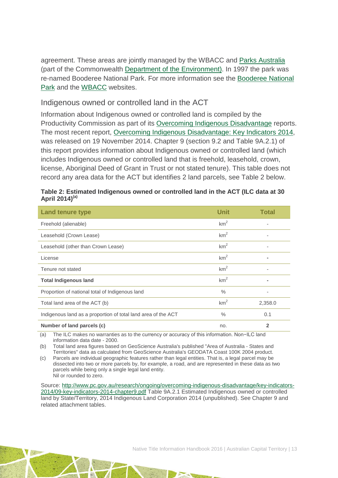agreement. These areas are jointly managed by the WBACC and [Parks Australia](http://www.parksaustralia.gov.au/about.html) (part of the Commonwealth [Department of the Environment\)](http://www.environment.gov.au/). In 1997 the park was re-named Booderee National Park. For more information see the [Booderee National](http://www.environment.gov.au/topics/national-parks/booderee-national-park)  [Park](http://www.environment.gov.au/topics/national-parks/booderee-national-park) and the [WBACC](http://www.wbacc.gov.au/) websites.

#### Indigenous owned or controlled land in the ACT

Information about Indigenous owned or controlled land is compiled by the Productivity Commission as part of its [Overcoming Indigenous Disadvantage](http://www.pc.gov.au/research/recurring/overcoming-indigenous-disadvantage) reports. The most recent report, [Overcoming Indigenous Disadvantage: Key Indicators 2014,](http://www.pc.gov.au/research/recurring/overcoming-indigenous-disadvantage/key-indicators-2014) was released on 19 November 2014. Chapter 9 (section 9.2 and Table 9A.2.1) of this report provides information about Indigenous owned or controlled land (which includes Indigenous owned or controlled land that is freehold, leasehold, crown, license, Aboriginal Deed of Grant in Trust or not stated tenure). This table does not record any area data for the ACT but identifies 2 land parcels, see Table 2 below.

| <b>Land tenure type</b>                                       | <b>Unit</b>     | <b>Total</b> |
|---------------------------------------------------------------|-----------------|--------------|
| Freehold (alienable)                                          | km <sup>2</sup> |              |
| Leasehold (Crown Lease)                                       | km <sup>2</sup> |              |
| Leasehold (other than Crown Lease)                            | km <sup>2</sup> |              |
| License                                                       | km <sup>2</sup> |              |
| Tenure not stated                                             | km <sup>2</sup> |              |
| <b>Total Indigenous land</b>                                  | km <sup>2</sup> |              |
| Proportion of national total of Indigenous land               | $\%$            |              |
| Total land area of the ACT (b)                                | km <sup>2</sup> | 2,358.0      |
| Indigenous land as a proportion of total land area of the ACT | $\frac{0}{0}$   | 0.1          |
| Number of land parcels (c)                                    | no.             | $\mathbf{2}$ |

|                            | Table 2: Estimated Indigenous owned or controlled land in the ACT (ILC data at 30 |
|----------------------------|-----------------------------------------------------------------------------------|
| April 2014) <sup>(a)</sup> |                                                                                   |

(a) The ILC makes no warranties as to the currency or accuracy of this information. Non−ILC land information data date - 2000.

(b) Total land area figures based on GeoScience Australia's published "Area of Australia - States and Territories" data as calculated from GeoScience Australia's GEODATA Coast 100K 2004 product.

(c) Parcels are individual geographic features rather than legal entities. That is, a legal parcel may be dissected into two or more parcels by, for example, a road, and are represented in these data as two parcels while being only a single legal land entity. Nil or rounded to zero.

Source: [http://www.pc.gov.au/research/ongoing/overcoming-indigenous-disadvantage/key-indicators-](http://www.pc.gov.au/research/ongoing/overcoming-indigenous-disadvantage/key-indicators-2014/09-key-indicators-2014-chapter9.pdf)[2014/09-key-indicators-2014-chapter9.pdf](http://www.pc.gov.au/research/ongoing/overcoming-indigenous-disadvantage/key-indicators-2014/09-key-indicators-2014-chapter9.pdf) Table 9A.2.1 Estimated Indigenous owned or controlled land by State/Territory, 2014 Indigenous Land Corporation 2014 (unpublished). See Chapter 9 and related attachment tables.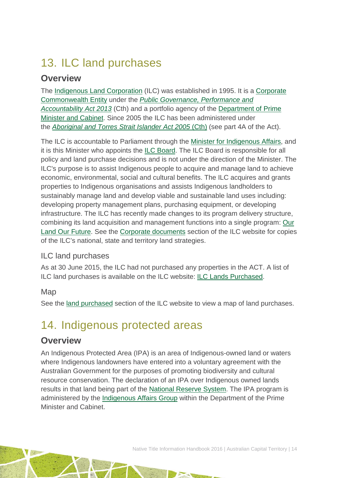# <span id="page-14-0"></span>13. ILC land purchases

### **Overview**

The [Indigenous Land Corporation](http://www.ilc.gov.au/Home) (ILC) was established in 1995. It is a [Corporate](http://www.austlii.edu.au/au/legis/cth/consol_act/pgpaaa2013432/s11.html)  [Commonwealth Entity](http://www.austlii.edu.au/au/legis/cth/consol_act/pgpaaa2013432/s11.html) under the *[Public Governance, Performance and](http://www.austlii.edu.au/au/legis/cth/consol_act/pgpaaa2013432/)  [Accountability Act 2013](http://www.austlii.edu.au/au/legis/cth/consol_act/pgpaaa2013432/)* (Cth) and a portfolio agency of the [Department of Prime](https://www.dpmc.gov.au/)  [Minister and Cabinet.](https://www.dpmc.gov.au/) Since 2005 the ILC has been administered under the *[Aboriginal and Torres Strait Islander Act 2005](http://www.austlii.edu.au/au/legis/cth/consol_act/aatsia2005359/)* (Cth) (see part 4A of the Act).

The ILC is accountable to Parliament through the [Minister for Indigenous Affairs,](http://minister.indigenous.gov.au/) and it is this Minister who appoints the [ILC Board.](http://www.ilc.gov.au/Home/About-Us/ILC-Board) The ILC Board is responsible for all policy and land purchase decisions and is not under the direction of the Minister. The ILC's purpose is to assist Indigenous people to acquire and manage land to achieve economic, environmental, social and cultural benefits. The ILC acquires and grants properties to Indigenous organisations and assists Indigenous landholders to sustainably manage land and develop viable and sustainable land uses including: developing property management plans, purchasing equipment, or developing infrastructure. The ILC has recently made changes to its program delivery structure, combining its land acquisition and management functions into a single program: [Our](http://www.ilc.gov.au/Home/Our-Land-Program)  [Land Our Future.](http://www.ilc.gov.au/Home/Our-Land-Program) See the [Corporate documents](http://www.ilc.gov.au/Home/Publications/Corporate-Documents) section of the ILC website for copies of the ILC's national, state and territory land strategies.

### ILC land purchases

As at 30 June 2015, the ILC had not purchased any properties in the ACT. A list of ILC land purchases is available on the ILC website: [ILC Lands Purchased.](http://www.ilc.gov.au/Home/Land-Purchased/Land-Purchased-All-States)

#### Map

See the [land purchased](http://www.ilc.gov.au/Home/Land-Purchased) section of the ILC website to view a map of land purchases.

# <span id="page-14-1"></span>14. Indigenous protected areas

### **Overview**

An Indigenous Protected Area (IPA) is an area of Indigenous-owned land or waters where Indigenous landowners have entered into a voluntary agreement with the Australian Government for the purposes of promoting biodiversity and cultural resource conservation. The declaration of an IPA over Indigenous owned lands results in that land being part of the [National Reserve System.](http://www.environment.gov.au/land/nrs) The IPA program is administered by the [Indigenous Affairs Group](https://www.dpmc.gov.au/indigenous-affairs) within the Department of the Prime Minister and Cabinet.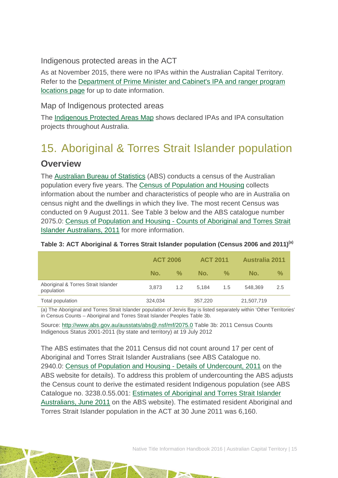Indigenous protected areas in the ACT

As at November 2015, there were no IPAs within the Australian Capital Territory. Refer to the [Department of Prime Minister and Cabinet's IPA and ranger program](https://www.dpmc.gov.au/indigenous-affairs/about/jobs-land-and-economy-programme/indigenous-environment-branch/project-locations)  [locations page](https://www.dpmc.gov.au/indigenous-affairs/about/jobs-land-and-economy-programme/indigenous-environment-branch/project-locations) for up to date information.

#### Map of Indigenous protected areas

The [Indigenous Protected Areas Map](https://www.dpmc.gov.au/indigenous-affairs/about/jobs-land-and-economy-programme/indigenous-environment-branch/project-locations) shows declared IPAs and IPA consultation projects throughout Australia.

# <span id="page-15-0"></span>15. Aboriginal & Torres Strait Islander population **Overview**

The [Australian Bureau of Statistics](http://www.abs.gov.au/) (ABS) conducts a census of the Australian population every five years. The [Census of Population and Housing](http://www.abs.gov.au/websitedbs/censushome.nsf/home/what?opendocument&navpos=110) collects information about the number and characteristics of people who are in Australia on census night and the dwellings in which they live. The most recent Census was conducted on 9 August 2011. See Table 3 below and the ABS catalogue number 2075.0: Census of Population and Housing - [Counts of Aboriginal and Torres Strait](http://www.abs.gov.au/ausstats/abs@.nsf/Lookup/2075.0main+features32011)  [Islander Australians, 2011](http://www.abs.gov.au/ausstats/abs@.nsf/Lookup/2075.0main+features32011) for more information.

|                                                   | <b>ACT 2006</b> |      | <b>ACT 2011</b> |      | <b>Australia 2011</b> |     |
|---------------------------------------------------|-----------------|------|-----------------|------|-----------------------|-----|
|                                                   | No.             | $\%$ | No.             | $\%$ | No.                   | %   |
| Aboriginal & Torres Strait Islander<br>population | 3.873           | 1.2  | 5.184           | 1.5  | 548,369               | 2.5 |
| Total population                                  | 324,034         |      | 357,220         |      | 21,507,719            |     |

#### **Table 3: ACT Aboriginal & Torres Strait Islander population (Census 2006 and 2011)(a)**

(a) The Aboriginal and Torres Strait Islander population of Jervis Bay is listed separately within 'Other Territories' in Census Counts – Aboriginal and Torres Strait Islander Peoples Table 3b.

Source:<http://www.abs.gov.au/ausstats/abs@.nsf/mf/2075.0> Table 3b: 2011 Census Counts Indigenous Status 2001-2011 (by state and territory) at 19 July 2012

The ABS estimates that the 2011 Census did not count around 17 per cent of Aboriginal and Torres Strait Islander Australians (see ABS Catalogue no. 2940.0: [Census of Population and Housing -](http://www.abs.gov.au/ausstats/abs@.nsf/%20mf/2940.0) Details of Undercount, 2011 on the ABS website for details). To address this problem of undercounting the ABS adjusts the Census count to derive the estimated resident Indigenous population (see ABS Catalogue no. 3238.0.55.001: [Estimates of Aboriginal and Torres Strait Islander](http://www.abs.gov.au/AUSSTATS/abs@.nsf/Lookup/3238.0.55.001Main+Features1June%202011?OpenDocument)  [Australians, June 2011](http://www.abs.gov.au/AUSSTATS/abs@.nsf/Lookup/3238.0.55.001Main+Features1June%202011?OpenDocument) on the ABS website). The estimated resident Aboriginal and Torres Strait Islander population in the ACT at 30 June 2011 was 6,160.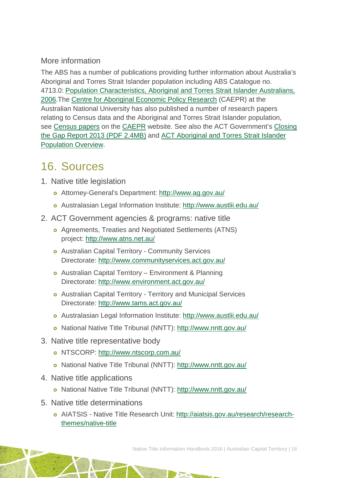### More information

The ABS has a number of publications providing further information about Australia's Aboriginal and Torres Strait Islander population including ABS Catalogue no. 4713.0: [Population Characteristics, Aboriginal and Torres Strait Islander Australians,](http://www.abs.gov.au/AUSSTATS/abs@.nsf/Lookup/4713.0Main+Features12006?OpenDocument)  [2006.](http://www.abs.gov.au/AUSSTATS/abs@.nsf/Lookup/4713.0Main+Features12006?OpenDocument)The [Centre for Aboriginal Economic](http://caepr.anu.edu.au/) Policy Research (CAEPR) at the Australian National University has also published a number of research papers relating to Census data and the Aboriginal and Torres Strait Islander population, see [Census papers](http://caepr.anu.edu.au/publications/censuspapers.php) on the [CAEPR](http://caepr.anu.edu.au/) website. See also the ACT Government's [Closing](http://www.communityservices.act.gov.au/__data/assets/pdf_file/0005/471614/ACT-Closing-the-Gap-Report.pdf)  [the Gap Report 2013 \(PDF 2.4MB\)](http://www.communityservices.act.gov.au/__data/assets/pdf_file/0005/471614/ACT-Closing-the-Gap-Report.pdf) and [ACT Aboriginal and Torres Strait Islander](http://apps.treasury.act.gov.au/demography/profiles/act/atsi)  [Population Overview.](http://apps.treasury.act.gov.au/demography/profiles/act/atsi)

## <span id="page-16-0"></span>16. Sources

- 1. Native title legislation
	- Attorney-General's Department:<http://www.ag.gov.au/>
	- Australasian Legal Information Institute:<http://www.austlii.edu.au/>
- 2. ACT Government agencies & programs: native title
	- Agreements, Treaties and Negotiated Settlements (ATNS) project:<http://www.atns.net.au/>
	- Australian Capital Territory Community Services Directorate:<http://www.communityservices.act.gov.au/>
	- Australian Capital Territory Environment & Planning Directorate:<http://www.environment.act.gov.au/>
	- Australian Capital Territory Territory and Municipal Services Directorate:<http://www.tams.act.gov.au/>
	- Australasian Legal Information Institute:<http://www.austlii.edu.au/>
	- National Native Title Tribunal (NNTT):<http://www.nntt.gov.au/>
- 3. Native title representative body
	- o NTSCORP:<http://www.ntscorp.com.au/>
	- National Native Title Tribunal (NNTT):<http://www.nntt.gov.au/>
- 4. Native title applications
	- National Native Title Tribunal (NNTT):<http://www.nntt.gov.au/>
- 5. Native title determinations
	- AIATSIS Native Title Research Unit: [http://aiatsis.gov.au/research/research](http://aiatsis.gov.au/research/research-themes/native-title)[themes/native-title](http://aiatsis.gov.au/research/research-themes/native-title)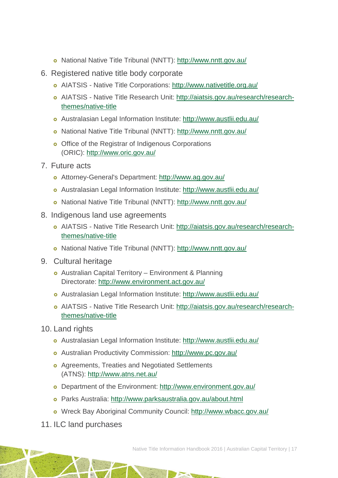- National Native Title Tribunal (NNTT):<http://www.nntt.gov.au/>
- 6. Registered native title body corporate
	- AIATSIS Native Title Corporations:<http://www.nativetitle.org.au/>
	- AIATSIS Native Title Research Unit: [http://aiatsis.gov.au/research/research](http://aiatsis.gov.au/research/research-themes/native-title)[themes/native-title](http://aiatsis.gov.au/research/research-themes/native-title)
	- Australasian Legal Information Institute:<http://www.austlii.edu.au/>
	- National Native Title Tribunal (NNTT):<http://www.nntt.gov.au/>
	- o Office of the Registrar of Indigenous Corporations (ORIC):<http://www.oric.gov.au/>
- 7. Future acts
	- Attorney-General's Department:<http://www.ag.gov.au/>
	- Australasian Legal Information Institute:<http://www.austlii.edu.au/>
	- National Native Title Tribunal (NNTT):<http://www.nntt.gov.au/>
- 8. Indigenous land use agreements
	- AIATSIS Native Title Research Unit: [http://aiatsis.gov.au/research/research](http://aiatsis.gov.au/research/research-themes/native-title)[themes/native-title](http://aiatsis.gov.au/research/research-themes/native-title)
	- o National Native Title Tribunal (NNTT):<http://www.nntt.gov.au/>
- 9. Cultural heritage
	- Australian Capital Territory Environment & Planning Directorate:<http://www.environment.act.gov.au/>
	- Australasian Legal Information Institute:<http://www.austlii.edu.au/>
	- AIATSIS Native Title Research Unit: [http://aiatsis.gov.au/research/research](http://aiatsis.gov.au/research/research-themes/native-title)[themes/native-title](http://aiatsis.gov.au/research/research-themes/native-title)
- 10. Land rights
	- Australasian Legal Information Institute:<http://www.austlii.edu.au/>
	- Australian Productivity Commission:<http://www.pc.gov.au/>
	- Agreements, Treaties and Negotiated Settlements (ATNS):<http://www.atns.net.au/>
	- o Department of the Environment:<http://www.environment.gov.au/>
	- Parks Australia:<http://www.parksaustralia.gov.au/about.html>
	- Wreck Bay Aboriginal Community Council:<http://www.wbacc.gov.au/>
- 11. ILC land purchases